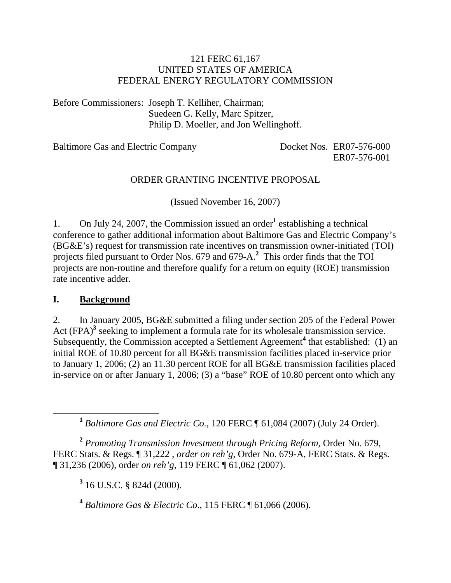## 121 FERC 61,167 UNITED STATES OF AMERICA FEDERAL ENERGY REGULATORY COMMISSION

Before Commissioners: Joseph T. Kelliher, Chairman; Suedeen G. Kelly, Marc Spitzer, Philip D. Moeller, and Jon Wellinghoff.

Baltimore Gas and Electric Company Docket Nos. ER07-576-000

ER07-576-001

## ORDER GRANTING INCENTIVE PROPOSAL

(Issued November 16, 2007)

1. On July 24, 2007, the Commission issued an order<sup>1</sup> establishing a technical conference to gather additional information about Baltimore Gas and Electric Company's (BG&E's) request for transmission rate incentives on transmission owner-initiated (TOI) projects filed pursuant to Order Nos. 679 and 679-A.**<sup>2</sup>** This order finds that the TOI projects are non-routine and therefore qualify for a return on equity (ROE) transmission rate incentive adder.

## **I. Background**

2. In January 2005, BG&E submitted a filing under section 205 of the Federal Power Act (FPA)<sup>3</sup> seeking to implement a formula rate for its wholesale transmission service. Subsequently, the Commission accepted a Settlement Agreement<sup>4</sup> that established: (1) an initial ROE of 10.80 percent for all BG&E transmission facilities placed in-service prior to January 1, 2006; (2) an 11.30 percent ROE for all BG&E transmission facilities placed in-service on or after January 1, 2006; (3) a "base" ROE of 10.80 percent onto which any

**<sup>1</sup>** *Baltimore Gas and Electric Co.*, 120 FERC ¶ 61,084 (2007) (July 24 Order).

**<sup>2</sup>** *Promoting Transmission Investment through Pricing Reform*, Order No. 679, FERC Stats. & Regs. ¶ 31,222 , *order on reh'g*, Order No. 679-A, FERC Stats. & Regs. ¶ 31,236 (2006), order *on reh'g*, 119 FERC ¶ 61,062 (2007).

**3** 16 U.S.C. § 824d (2000).

**<sup>4</sup>** *Baltimore Gas & Electric Co*., 115 FERC ¶ 61,066 (2006).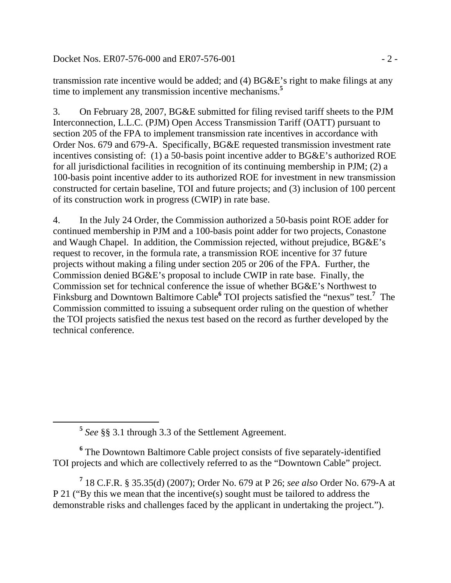Docket Nos. ER07-576-000 and ER07-576-001 - 2 -

transmission rate incentive would be added; and (4) BG&E's right to make filings at any time to implement any transmission incentive mechanisms.**<sup>5</sup>**

3. On February 28, 2007, BG&E submitted for filing revised tariff sheets to the PJM Interconnection, L.L.C. (PJM) Open Access Transmission Tariff (OATT) pursuant to section 205 of the FPA to implement transmission rate incentives in accordance with Order Nos. 679 and 679-A. Specifically, BG&E requested transmission investment rate incentives consisting of: (1) a 50-basis point incentive adder to BG&E's authorized ROE for all jurisdictional facilities in recognition of its continuing membership in PJM; (2) a 100-basis point incentive adder to its authorized ROE for investment in new transmission constructed for certain baseline, TOI and future projects; and (3) inclusion of 100 percent of its construction work in progress (CWIP) in rate base.

4. In the July 24 Order, the Commission authorized a 50-basis point ROE adder for continued membership in PJM and a 100-basis point adder for two projects, Conastone and Waugh Chapel. In addition, the Commission rejected, without prejudice, BG&E's request to recover, in the formula rate, a transmission ROE incentive for 37 future projects without making a filing under section 205 or 206 of the FPA. Further, the Commission denied BG&E's proposal to include CWIP in rate base. Finally, the Commission set for technical conference the issue of whether BG&E's Northwest to Finksburg and Downtown Baltimore Cable<sup>6</sup> TOI projects satisfied the "nexus" test.<sup>7</sup> The Commission committed to issuing a subsequent order ruling on the question of whether the TOI projects satisfied the nexus test based on the record as further developed by the technical conference.

<sup>6</sup> The Downtown Baltimore Cable project consists of five separately-identified TOI projects and which are collectively referred to as the "Downtown Cable" project.

**7** 18 C.F.R. § 35.35(d) (2007); Order No. 679 at P 26; *see also* Order No. 679-A at P 21 ("By this we mean that the incentive(s) sought must be tailored to address the demonstrable risks and challenges faced by the applicant in undertaking the project.").

**<sup>5</sup>** *See* §§ 3.1 through 3.3 of the Settlement Agreement.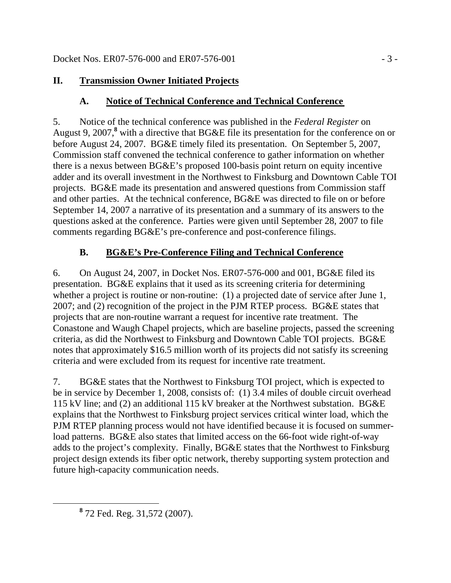# **II. Transmission Owner Initiated Projects**

# **A. Notice of Technical Conference and Technical Conference**

5. Notice of the technical conference was published in the *Federal Register* on August 9, 2007,<sup>8</sup> with a directive that BG&E file its presentation for the conference on or before August 24, 2007. BG&E timely filed its presentation. On September 5, 2007, Commission staff convened the technical conference to gather information on whether there is a nexus between BG&E's proposed 100-basis point return on equity incentive adder and its overall investment in the Northwest to Finksburg and Downtown Cable TOI projects. BG&E made its presentation and answered questions from Commission staff and other parties. At the technical conference, BG&E was directed to file on or before September 14, 2007 a narrative of its presentation and a summary of its answers to the questions asked at the conference. Parties were given until September 28, 2007 to file comments regarding BG&E's pre-conference and post-conference filings.

# **B. BG&E's Pre-Conference Filing and Technical Conference**

6. On August 24, 2007, in Docket Nos. ER07-576-000 and 001, BG&E filed its presentation. BG&E explains that it used as its screening criteria for determining whether a project is routine or non-routine: (1) a projected date of service after June 1, 2007; and (2) recognition of the project in the PJM RTEP process. BG&E states that projects that are non-routine warrant a request for incentive rate treatment. The Conastone and Waugh Chapel projects, which are baseline projects, passed the screening criteria, as did the Northwest to Finksburg and Downtown Cable TOI projects. BG&E notes that approximately \$16.5 million worth of its projects did not satisfy its screening criteria and were excluded from its request for incentive rate treatment.

7. BG&E states that the Northwest to Finksburg TOI project, which is expected to be in service by December 1, 2008, consists of: (1) 3.4 miles of double circuit overhead 115 kV line; and (2) an additional 115 kV breaker at the Northwest substation. BG&E explains that the Northwest to Finksburg project services critical winter load, which the PJM RTEP planning process would not have identified because it is focused on summerload patterns. BG&E also states that limited access on the 66-foot wide right-of-way adds to the project's complexity. Finally, BG&E states that the Northwest to Finksburg project design extends its fiber optic network, thereby supporting system protection and future high-capacity communication needs.

**<sup>8</sup>** 72 Fed. Reg. 31,572 (2007).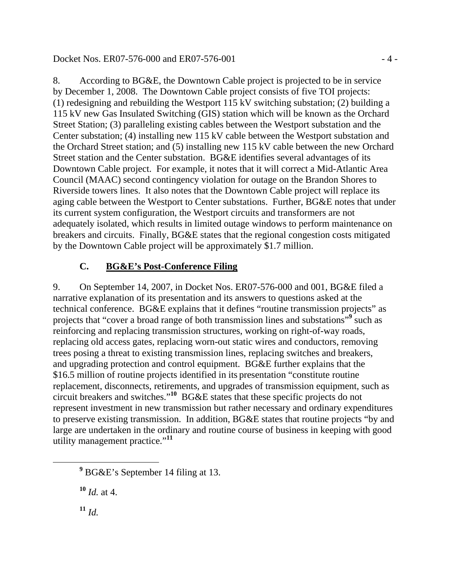Docket Nos. ER07-576-000 and ER07-576-001 - 4 -

8. According to BG&E, the Downtown Cable project is projected to be in service by December 1, 2008. The Downtown Cable project consists of five TOI projects: (1) redesigning and rebuilding the Westport 115 kV switching substation; (2) building a 115 kV new Gas Insulated Switching (GIS) station which will be known as the Orchard Street Station; (3) paralleling existing cables between the Westport substation and the Center substation; (4) installing new 115 kV cable between the Westport substation and the Orchard Street station; and (5) installing new 115 kV cable between the new Orchard Street station and the Center substation. BG&E identifies several advantages of its Downtown Cable project. For example, it notes that it will correct a Mid-Atlantic Area Council (MAAC) second contingency violation for outage on the Brandon Shores to Riverside towers lines. It also notes that the Downtown Cable project will replace its aging cable between the Westport to Center substations. Further, BG&E notes that under its current system configuration, the Westport circuits and transformers are not adequately isolated, which results in limited outage windows to perform maintenance on breakers and circuits. Finally, BG&E states that the regional congestion costs mitigated by the Downtown Cable project will be approximately \$1.7 million.

# **C. BG&E's Post-Conference Filing**

9. On September 14, 2007, in Docket Nos. ER07-576-000 and 001, BG&E filed a narrative explanation of its presentation and its answers to questions asked at the technical conference. BG&E explains that it defines "routine transmission projects" as projects that "cover a broad range of both transmission lines and substations"<sup>9</sup> such as reinforcing and replacing transmission structures, working on right-of-way roads, replacing old access gates, replacing worn-out static wires and conductors, removing trees posing a threat to existing transmission lines, replacing switches and breakers, and upgrading protection and control equipment. BG&E further explains that the \$16.5 million of routine projects identified in its presentation "constitute routine replacement, disconnects, retirements, and upgrades of transmission equipment, such as circuit breakers and switches."**<sup>10</sup>** BG&E states that these specific projects do not represent investment in new transmission but rather necessary and ordinary expenditures to preserve existing transmission. In addition, BG&E states that routine projects "by and large are undertaken in the ordinary and routine course of business in keeping with good utility management practice."**<sup>11</sup>**

**<sup>10</sup>** *Id.* at 4.

**<sup>11</sup>** *Id.*

**<sup>9</sup>** <sup>9</sup> BG&E's September 14 filing at 13.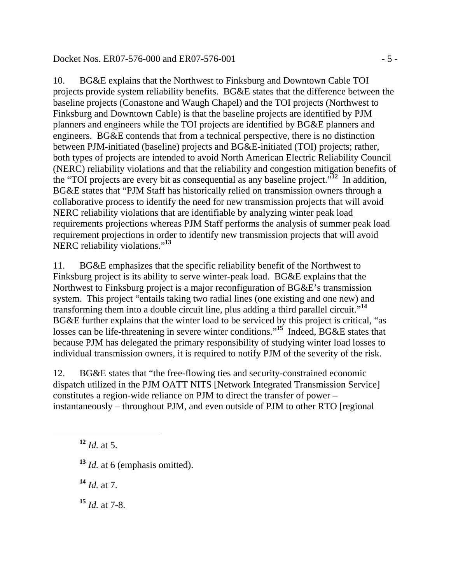### Docket Nos. ER07-576-000 and ER07-576-001 - 5 -

10. BG&E explains that the Northwest to Finksburg and Downtown Cable TOI projects provide system reliability benefits. BG&E states that the difference between the baseline projects (Conastone and Waugh Chapel) and the TOI projects (Northwest to Finksburg and Downtown Cable) is that the baseline projects are identified by PJM planners and engineers while the TOI projects are identified by BG&E planners and engineers. BG&E contends that from a technical perspective, there is no distinction between PJM-initiated (baseline) projects and BG&E-initiated (TOI) projects; rather, both types of projects are intended to avoid North American Electric Reliability Council (NERC) reliability violations and that the reliability and congestion mitigation benefits of the "TOI projects are every bit as consequential as any baseline project."**<sup>12</sup>** In addition, BG&E states that "PJM Staff has historically relied on transmission owners through a collaborative process to identify the need for new transmission projects that will avoid NERC reliability violations that are identifiable by analyzing winter peak load requirements projections whereas PJM Staff performs the analysis of summer peak load requirement projections in order to identify new transmission projects that will avoid NERC reliability violations."**<sup>13</sup>**

11. BG&E emphasizes that the specific reliability benefit of the Northwest to Finksburg project is its ability to serve winter-peak load. BG&E explains that the Northwest to Finksburg project is a major reconfiguration of BG&E's transmission system. This project "entails taking two radial lines (one existing and one new) and transforming them into a double circuit line, plus adding a third parallel circuit."**<sup>14</sup>** BG&E further explains that the winter load to be serviced by this project is critical, "as losses can be life-threatening in severe winter conditions."**<sup>15</sup>** Indeed, BG&E states that because PJM has delegated the primary responsibility of studying winter load losses to individual transmission owners, it is required to notify PJM of the severity of the risk.

12. BG&E states that "the free-flowing ties and security-constrained economic dispatch utilized in the PJM OATT NITS [Network Integrated Transmission Service] constitutes a region-wide reliance on PJM to direct the transfer of power – instantaneously – throughout PJM, and even outside of PJM to other RTO [regional

 $12$  *Id.* at 5.

- **<sup>13</sup>** *Id.* at 6 (emphasis omitted).
- **<sup>14</sup>** *Id.* at 7.
- **<sup>15</sup>** *Id.* at 7-8.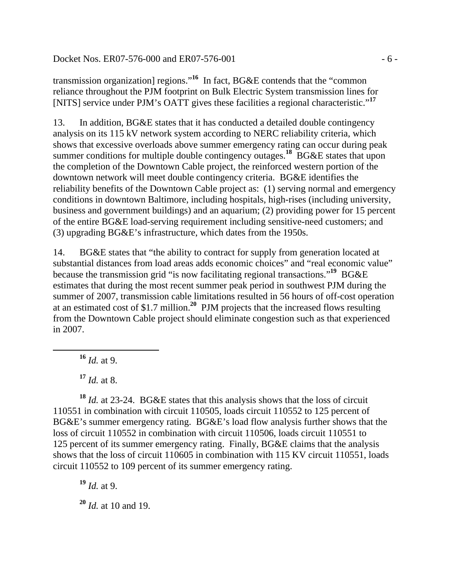Docket Nos. ER07-576-000 and ER07-576-001 - 6 -

transmission organization] regions."**<sup>16</sup>** In fact, BG&E contends that the "common reliance throughout the PJM footprint on Bulk Electric System transmission lines for [NITS] service under PJM's OATT gives these facilities a regional characteristic."**<sup>17</sup>**

13. In addition, BG&E states that it has conducted a detailed double contingency analysis on its 115 kV network system according to NERC reliability criteria, which shows that excessive overloads above summer emergency rating can occur during peak summer conditions for multiple double contingency outages.<sup>18</sup> BG&E states that upon the completion of the Downtown Cable project, the reinforced western portion of the downtown network will meet double contingency criteria. BG&E identifies the reliability benefits of the Downtown Cable project as: (1) serving normal and emergency conditions in downtown Baltimore, including hospitals, high-rises (including university, business and government buildings) and an aquarium; (2) providing power for 15 percent of the entire BG&E load-serving requirement including sensitive-need customers; and (3) upgrading BG&E's infrastructure, which dates from the 1950s.

14. BG&E states that "the ability to contract for supply from generation located at substantial distances from load areas adds economic choices" and "real economic value" because the transmission grid "is now facilitating regional transactions."**<sup>19</sup>** BG&E estimates that during the most recent summer peak period in southwest PJM during the summer of 2007, transmission cable limitations resulted in 56 hours of off-cost operation at an estimated cost of \$1.7 million.**<sup>20</sup>** PJM projects that the increased flows resulting from the Downtown Cable project should eliminate congestion such as that experienced in 2007.

**<sup>16</sup>** *Id.* at 9.

**<sup>17</sup>** *Id.* at 8.

**<sup>18</sup>** *Id.* at 23-24. BG&E states that this analysis shows that the loss of circuit 110551 in combination with circuit 110505, loads circuit 110552 to 125 percent of BG&E's summer emergency rating. BG&E's load flow analysis further shows that the loss of circuit 110552 in combination with circuit 110506, loads circuit 110551 to 125 percent of its summer emergency rating. Finally, BG&E claims that the analysis shows that the loss of circuit 110605 in combination with 115 KV circuit 110551, loads circuit 110552 to 109 percent of its summer emergency rating.

**<sup>19</sup>** *Id.* at 9.

**<sup>20</sup>** *Id.* at 10 and 19.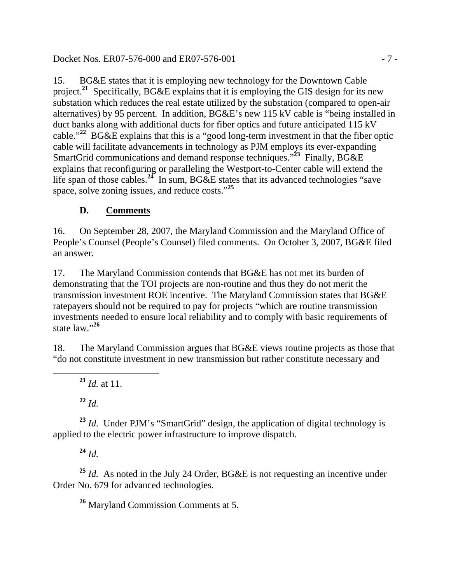## Docket Nos. ER07-576-000 and ER07-576-001 - 7 -

15. BG&E states that it is employing new technology for the Downtown Cable project.**<sup>21</sup>** Specifically, BG&E explains that it is employing the GIS design for its new substation which reduces the real estate utilized by the substation (compared to open-air alternatives) by 95 percent. In addition, BG&E's new 115 kV cable is "being installed in duct banks along with additional ducts for fiber optics and future anticipated 115 kV cable."**<sup>22</sup>** BG&E explains that this is a "good long-term investment in that the fiber optic cable will facilitate advancements in technology as PJM employs its ever-expanding SmartGrid communications and demand response techniques."<sup>23</sup> Finally, BG&E explains that reconfiguring or paralleling the Westport-to-Center cable will extend the life span of those cables.**<sup>24</sup>** In sum, BG&E states that its advanced technologies "save space, solve zoning issues, and reduce costs."**<sup>25</sup>**

# **D. Comments**

16. On September 28, 2007, the Maryland Commission and the Maryland Office of People's Counsel (People's Counsel) filed comments. On October 3, 2007, BG&E filed an answer.

17. The Maryland Commission contends that BG&E has not met its burden of demonstrating that the TOI projects are non-routine and thus they do not merit the transmission investment ROE incentive. The Maryland Commission states that BG&E ratepayers should not be required to pay for projects "which are routine transmission investments needed to ensure local reliability and to comply with basic requirements of state law."**<sup>26</sup>**

18. The Maryland Commission argues that BG&E views routine projects as those that "do not constitute investment in new transmission but rather constitute necessary and

 $^{21}$  *Id.* at 11.

**<sup>22</sup>** *Id.*

**<sup>23</sup>** *Id.* Under PJM's "SmartGrid" design, the application of digital technology is applied to the electric power infrastructure to improve dispatch.

**<sup>24</sup>** *Id.*

**<sup>25</sup>** *Id.* As noted in the July 24 Order, BG&E is not requesting an incentive under Order No. 679 for advanced technologies.

**<sup>26</sup>** Maryland Commission Comments at 5.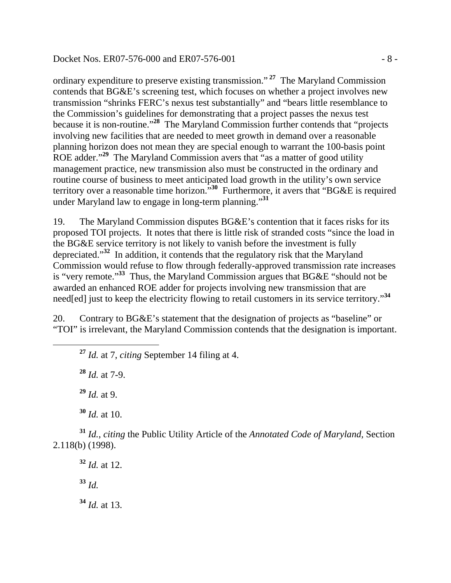Docket Nos. ER07-576-000 and ER07-576-001 - 8 -

ordinary expenditure to preserve existing transmission."**<sup>27</sup>** The Maryland Commission contends that BG&E's screening test, which focuses on whether a project involves new transmission "shrinks FERC's nexus test substantially" and "bears little resemblance to the Commission's guidelines for demonstrating that a project passes the nexus test because it is non-routine."**<sup>28</sup>** The Maryland Commission further contends that "projects involving new facilities that are needed to meet growth in demand over a reasonable planning horizon does not mean they are special enough to warrant the 100-basis point ROE adder."<sup>29</sup> The Maryland Commission avers that "as a matter of good utility" management practice, new transmission also must be constructed in the ordinary and routine course of business to meet anticipated load growth in the utility's own service territory over a reasonable time horizon.<sup>530</sup> Furthermore, it avers that "BG&E is required under Maryland law to engage in long-term planning."**<sup>31</sup>**

19. The Maryland Commission disputes BG&E's contention that it faces risks for its proposed TOI projects. It notes that there is little risk of stranded costs "since the load in the BG&E service territory is not likely to vanish before the investment is fully depreciated."**<sup>32</sup>** In addition, it contends that the regulatory risk that the Maryland Commission would refuse to flow through federally-approved transmission rate increases is "very remote."**<sup>33</sup>** Thus, the Maryland Commission argues that BG&E "should not be awarded an enhanced ROE adder for projects involving new transmission that are need[ed] just to keep the electricity flowing to retail customers in its service territory."**<sup>34</sup>**

20. Contrary to BG&E's statement that the designation of projects as "baseline" or "TOI" is irrelevant, the Maryland Commission contends that the designation is important.

**<sup>27</sup>** *Id.* at 7, *citing* September 14 filing at 4.

**<sup>28</sup>** *Id.* at 7-9.

**<sup>29</sup>** *Id.* at 9.

**<sup>30</sup>** *Id.* at 10.

**<sup>31</sup>** *Id.*, *citing* the Public Utility Article of the *Annotated Code of Maryland,* Section 2.118(b) (1998).

**<sup>32</sup>** *Id.* at 12. **<sup>33</sup>** *Id.* **<sup>34</sup>** *Id.* at 13.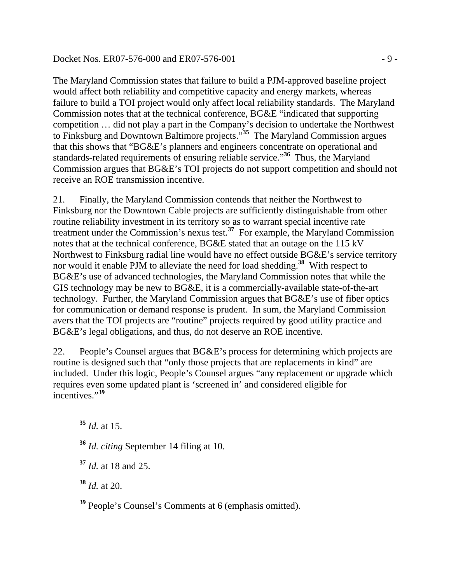#### Docket Nos. ER07-576-000 and ER07-576-001 - 9 -

The Maryland Commission states that failure to build a PJM-approved baseline project would affect both reliability and competitive capacity and energy markets, whereas failure to build a TOI project would only affect local reliability standards. The Maryland Commission notes that at the technical conference, BG&E "indicated that supporting competition … did not play a part in the Company's decision to undertake the Northwest to Finksburg and Downtown Baltimore projects."**<sup>35</sup>** The Maryland Commission argues that this shows that "BG&E's planners and engineers concentrate on operational and standards-related requirements of ensuring reliable service."**<sup>36</sup>** Thus, the Maryland Commission argues that BG&E's TOI projects do not support competition and should not receive an ROE transmission incentive.

21. Finally, the Maryland Commission contends that neither the Northwest to Finksburg nor the Downtown Cable projects are sufficiently distinguishable from other routine reliability investment in its territory so as to warrant special incentive rate treatment under the Commission's nexus test.**<sup>37</sup>** For example, the Maryland Commission notes that at the technical conference, BG&E stated that an outage on the 115 kV Northwest to Finksburg radial line would have no effect outside BG&E's service territory nor would it enable PJM to alleviate the need for load shedding.**<sup>38</sup>** With respect to BG&E's use of advanced technologies, the Maryland Commission notes that while the GIS technology may be new to BG&E, it is a commercially-available state-of-the-art technology. Further, the Maryland Commission argues that BG&E's use of fiber optics for communication or demand response is prudent. In sum, the Maryland Commission avers that the TOI projects are "routine" projects required by good utility practice and BG&E's legal obligations, and thus, do not deserve an ROE incentive.

22. People's Counsel argues that BG&E's process for determining which projects are routine is designed such that "only those projects that are replacements in kind" are included. Under this logic, People's Counsel argues "any replacement or upgrade which requires even some updated plant is 'screened in' and considered eligible for incentives."**<sup>39</sup>**

**<sup>38</sup>** *Id.* at 20.

**<sup>39</sup>** People's Counsel's Comments at 6 (emphasis omitted).

**<sup>35</sup>** *Id.* at 15.

**<sup>36</sup>** *Id. citing* September 14 filing at 10.

**<sup>37</sup>** *Id.* at 18 and 25.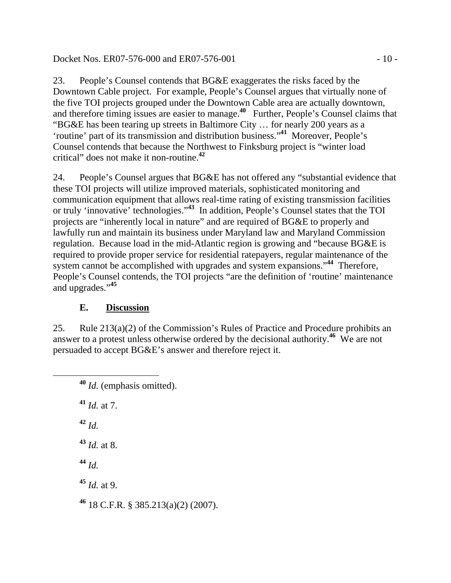Docket Nos. ER07-576-000 and ER07-576-001 - 10 -

23. People's Counsel contends that BG&E exaggerates the risks faced by the Downtown Cable project. For example, People's Counsel argues that virtually none of the five TOI projects grouped under the Downtown Cable area are actually downtown, and therefore timing issues are easier to manage.**<sup>40</sup>** Further, People's Counsel claims that "BG&E has been tearing up streets in Baltimore City … for nearly 200 years as a 'routine' part of its transmission and distribution business."**<sup>41</sup>** Moreover, People's Counsel contends that because the Northwest to Finksburg project is "winter load critical" does not make it non-routine.**<sup>42</sup>**

24. People's Counsel argues that BG&E has not offered any "substantial evidence that these TOI projects will utilize improved materials, sophisticated monitoring and communication equipment that allows real-time rating of existing transmission facilities or truly 'innovative' technologies."**<sup>43</sup>** In addition, People's Counsel states that the TOI projects are "inherently local in nature" and are required of BG&E to properly and lawfully run and maintain its business under Maryland law and Maryland Commission regulation. Because load in the mid-Atlantic region is growing and "because BG&E is required to provide proper service for residential ratepayers, regular maintenance of the system cannot be accomplished with upgrades and system expansions."**<sup>44</sup>** Therefore, People's Counsel contends, the TOI projects "are the definition of 'routine' maintenance and upgrades."**<sup>45</sup>**

# **E. Discussion**

25. Rule 213(a)(2) of the Commission's Rules of Practice and Procedure prohibits an answer to a protest unless otherwise ordered by the decisional authority.**<sup>46</sup>** We are not persuaded to accept BG&E's answer and therefore reject it.

 **<sup>40</sup>** *Id.* (emphasis omitted). **<sup>41</sup>** *Id.* at 7. **<sup>42</sup>** *Id.* **<sup>43</sup>** *Id.* at 8. **<sup>44</sup>** *Id.* **<sup>45</sup>** *Id.* at 9. **<sup>46</sup>** 18 C.F.R. § 385.213(a)(2) (2007).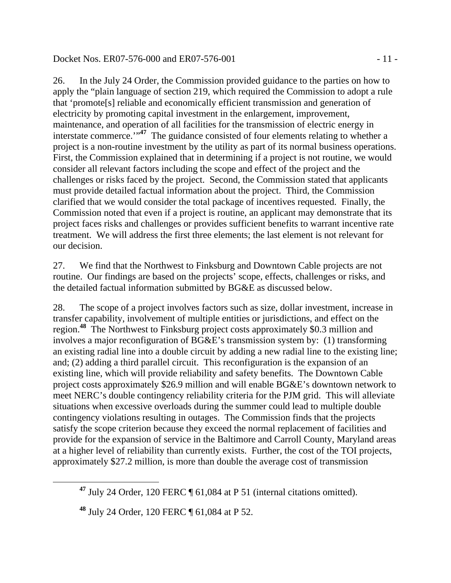## Docket Nos. ER07-576-000 and ER07-576-001 - 11 -

26. In the July 24 Order, the Commission provided guidance to the parties on how to apply the "plain language of section 219, which required the Commission to adopt a rule that 'promote[s] reliable and economically efficient transmission and generation of electricity by promoting capital investment in the enlargement, improvement, maintenance, and operation of all facilities for the transmission of electric energy in interstate commerce.<sup>"47</sup> The guidance consisted of four elements relating to whether a project is a non-routine investment by the utility as part of its normal business operations. First, the Commission explained that in determining if a project is not routine, we would consider all relevant factors including the scope and effect of the project and the challenges or risks faced by the project. Second, the Commission stated that applicants must provide detailed factual information about the project. Third, the Commission clarified that we would consider the total package of incentives requested. Finally, the Commission noted that even if a project is routine, an applicant may demonstrate that its project faces risks and challenges or provides sufficient benefits to warrant incentive rate treatment. We will address the first three elements; the last element is not relevant for our decision.

27. We find that the Northwest to Finksburg and Downtown Cable projects are not routine. Our findings are based on the projects' scope, effects, challenges or risks, and the detailed factual information submitted by BG&E as discussed below.

28. The scope of a project involves factors such as size, dollar investment, increase in transfer capability, involvement of multiple entities or jurisdictions, and effect on the region.**<sup>48</sup>** The Northwest to Finksburg project costs approximately \$0.3 million and involves a major reconfiguration of BG&E's transmission system by: (1) transforming an existing radial line into a double circuit by adding a new radial line to the existing line; and; (2) adding a third parallel circuit. This reconfiguration is the expansion of an existing line, which will provide reliability and safety benefits. The Downtown Cable project costs approximately \$26.9 million and will enable BG&E's downtown network to meet NERC's double contingency reliability criteria for the PJM grid. This will alleviate situations when excessive overloads during the summer could lead to multiple double contingency violations resulting in outages. The Commission finds that the projects satisfy the scope criterion because they exceed the normal replacement of facilities and provide for the expansion of service in the Baltimore and Carroll County, Maryland areas at a higher level of reliability than currently exists. Further, the cost of the TOI projects, approximately \$27.2 million, is more than double the average cost of transmission

**<sup>47</sup>** July 24 Order, 120 FERC ¶ 61,084 at P 51 (internal citations omitted).

**<sup>48</sup>** July 24 Order, 120 FERC ¶ 61,084 at P 52.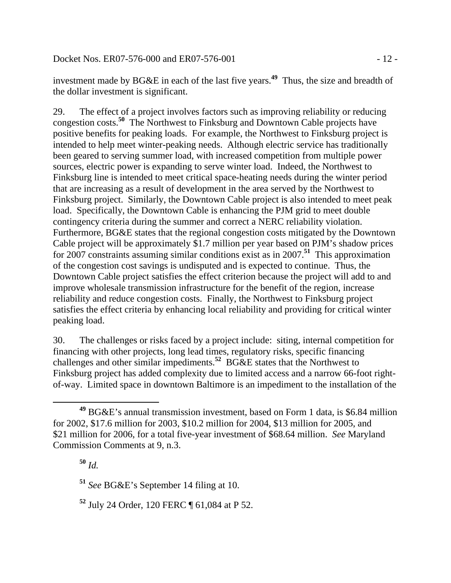investment made by BG&E in each of the last five years.**<sup>49</sup>** Thus, the size and breadth of the dollar investment is significant.

29. The effect of a project involves factors such as improving reliability or reducing congestion costs.**<sup>50</sup>** The Northwest to Finksburg and Downtown Cable projects have positive benefits for peaking loads. For example, the Northwest to Finksburg project is intended to help meet winter-peaking needs. Although electric service has traditionally been geared to serving summer load, with increased competition from multiple power sources, electric power is expanding to serve winter load. Indeed, the Northwest to Finksburg line is intended to meet critical space-heating needs during the winter period that are increasing as a result of development in the area served by the Northwest to Finksburg project. Similarly, the Downtown Cable project is also intended to meet peak load. Specifically, the Downtown Cable is enhancing the PJM grid to meet double contingency criteria during the summer and correct a NERC reliability violation. Furthermore, BG&E states that the regional congestion costs mitigated by the Downtown Cable project will be approximately \$1.7 million per year based on PJM's shadow prices for 2007 constraints assuming similar conditions exist as in 2007.**<sup>51</sup>** This approximation of the congestion cost savings is undisputed and is expected to continue. Thus, the Downtown Cable project satisfies the effect criterion because the project will add to and improve wholesale transmission infrastructure for the benefit of the region, increase reliability and reduce congestion costs. Finally, the Northwest to Finksburg project satisfies the effect criteria by enhancing local reliability and providing for critical winter peaking load.

30. The challenges or risks faced by a project include: siting, internal competition for financing with other projects, long lead times, regulatory risks, specific financing challenges and other similar impediments.**<sup>52</sup>** BG&E states that the Northwest to Finksburg project has added complexity due to limited access and a narrow 66-foot rightof-way. Limited space in downtown Baltimore is an impediment to the installation of the

**<sup>49</sup>** BG&E's annual transmission investment, based on Form 1 data, is \$6.84 million for 2002, \$17.6 million for 2003, \$10.2 million for 2004, \$13 million for 2005, and \$21 million for 2006, for a total five-year investment of \$68.64 million. *See* Maryland Commission Comments at 9, n.3.

**<sup>50</sup>** *Id.*

**<sup>51</sup>** *See* BG&E's September 14 filing at 10.

**<sup>52</sup>** July 24 Order, 120 FERC ¶ 61,084 at P 52.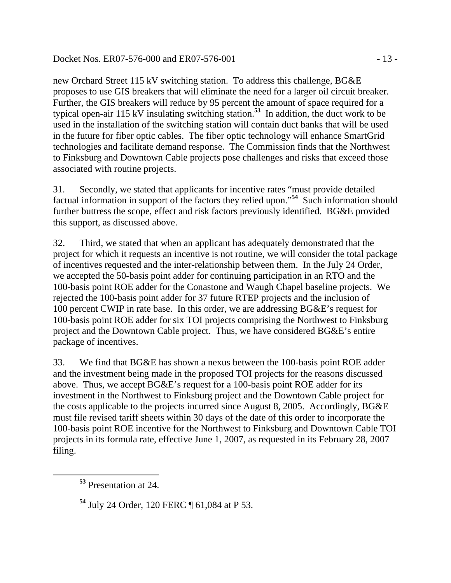## Docket Nos. ER07-576-000 and ER07-576-001 - 13 -

new Orchard Street 115 kV switching station. To address this challenge, BG&E proposes to use GIS breakers that will eliminate the need for a larger oil circuit breaker. Further, the GIS breakers will reduce by 95 percent the amount of space required for a typical open-air 115 kV insulating switching station.**<sup>53</sup>** In addition, the duct work to be used in the installation of the switching station will contain duct banks that will be used in the future for fiber optic cables. The fiber optic technology will enhance SmartGrid technologies and facilitate demand response. The Commission finds that the Northwest to Finksburg and Downtown Cable projects pose challenges and risks that exceed those associated with routine projects.

31. Secondly, we stated that applicants for incentive rates "must provide detailed factual information in support of the factors they relied upon."**<sup>54</sup>** Such information should further buttress the scope, effect and risk factors previously identified. BG&E provided this support, as discussed above.

32. Third, we stated that when an applicant has adequately demonstrated that the project for which it requests an incentive is not routine, we will consider the total package of incentives requested and the inter-relationship between them. In the July 24 Order, we accepted the 50-basis point adder for continuing participation in an RTO and the 100-basis point ROE adder for the Conastone and Waugh Chapel baseline projects. We rejected the 100-basis point adder for 37 future RTEP projects and the inclusion of 100 percent CWIP in rate base. In this order, we are addressing BG&E's request for 100-basis point ROE adder for six TOI projects comprising the Northwest to Finksburg project and the Downtown Cable project. Thus, we have considered BG&E's entire package of incentives.

33. We find that BG&E has shown a nexus between the 100-basis point ROE adder and the investment being made in the proposed TOI projects for the reasons discussed above. Thus, we accept BG&E's request for a 100-basis point ROE adder for its investment in the Northwest to Finksburg project and the Downtown Cable project for the costs applicable to the projects incurred since August 8, 2005. Accordingly, BG&E must file revised tariff sheets within 30 days of the date of this order to incorporate the 100-basis point ROE incentive for the Northwest to Finksburg and Downtown Cable TOI projects in its formula rate, effective June 1, 2007, as requested in its February 28, 2007 filing.

**<sup>53</sup>** Presentation at 24.

**<sup>54</sup>** July 24 Order, 120 FERC ¶ 61,084 at P 53.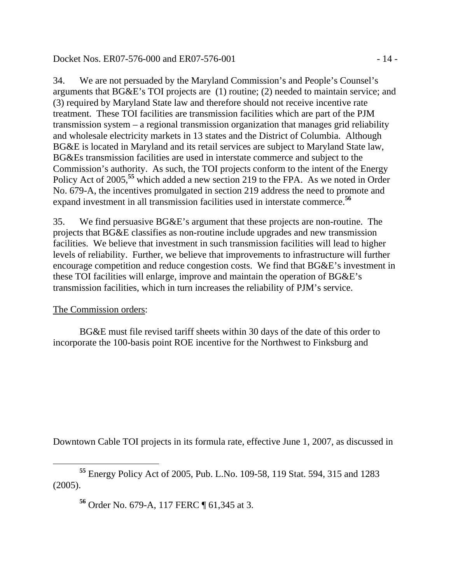## Docket Nos. ER07-576-000 and ER07-576-001 - 14 -

34. We are not persuaded by the Maryland Commission's and People's Counsel's arguments that BG&E's TOI projects are (1) routine; (2) needed to maintain service; and (3) required by Maryland State law and therefore should not receive incentive rate treatment. These TOI facilities are transmission facilities which are part of the PJM transmission system – a regional transmission organization that manages grid reliability and wholesale electricity markets in 13 states and the District of Columbia. Although BG&E is located in Maryland and its retail services are subject to Maryland State law, BG&Es transmission facilities are used in interstate commerce and subject to the Commission's authority. As such, the TOI projects conform to the intent of the Energy Policy Act of 2005,<sup>55</sup> which added a new section 219 to the FPA. As we noted in Order No. 679-A, the incentives promulgated in section 219 address the need to promote and expand investment in all transmission facilities used in interstate commerce.**<sup>56</sup>**

35. We find persuasive BG&E's argument that these projects are non-routine. The projects that BG&E classifies as non-routine include upgrades and new transmission facilities. We believe that investment in such transmission facilities will lead to higher levels of reliability. Further, we believe that improvements to infrastructure will further encourage competition and reduce congestion costs. We find that BG&E's investment in these TOI facilities will enlarge, improve and maintain the operation of BG&E's transmission facilities, which in turn increases the reliability of PJM's service.

## The Commission orders:

BG&E must file revised tariff sheets within 30 days of the date of this order to incorporate the 100-basis point ROE incentive for the Northwest to Finksburg and

Downtown Cable TOI projects in its formula rate, effective June 1, 2007, as discussed in

**<sup>56</sup>** Order No. 679-A, 117 FERC ¶ 61,345 at 3.

**<sup>55</sup>** Energy Policy Act of 2005, Pub. L.No. 109-58, 119 Stat. 594, 315 and 1283 (2005).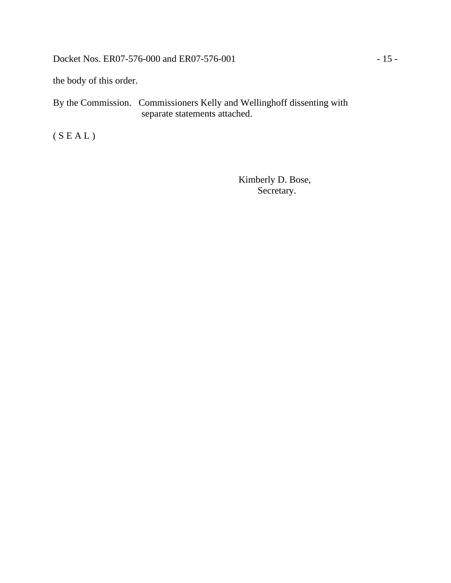Docket Nos. ER07-576-000 and ER07-576-001 - 15 -

the body of this order.

By the Commission. Commissioners Kelly and Wellinghoff dissenting with separate statements attached.

(  ${\cal S} \, {\cal E} \, {\cal A} \, {\cal L}$  )

 Kimberly D. Bose, Secretary.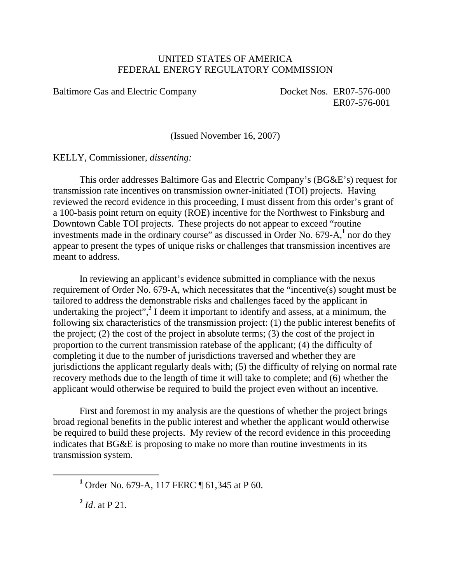## UNITED STATES OF AMERICA FEDERAL ENERGY REGULATORY COMMISSION

Baltimore Gas and Electric Company Docket Nos. ER07-576-000

ER07-576-001

(Issued November 16, 2007)

KELLY, Commissioner, *dissenting:* 

This order addresses Baltimore Gas and Electric Company's (BG&E's) request for transmission rate incentives on transmission owner-initiated (TOI) projects. Having reviewed the record evidence in this proceeding, I must dissent from this order's grant of a 100-basis point return on equity (ROE) incentive for the Northwest to Finksburg and Downtown Cable TOI projects. These projects do not appear to exceed "routine investments made in the ordinary course" as discussed in Order No.  $679-A$ ,<sup>1</sup> nor do they appear to present the types of unique risks or challenges that transmission incentives are meant to address.

In reviewing an applicant's evidence submitted in compliance with the nexus requirement of Order No. 679-A, which necessitates that the "incentive(s) sought must be tailored to address the demonstrable risks and challenges faced by the applicant in undertaking the project",<sup>2</sup> I deem it important to identify and assess, at a minimum, the following six characteristics of the transmission project: (1) the public interest benefits of the project; (2) the cost of the project in absolute terms; (3) the cost of the project in proportion to the current transmission ratebase of the applicant; (4) the difficulty of completing it due to the number of jurisdictions traversed and whether they are jurisdictions the applicant regularly deals with; (5) the difficulty of relying on normal rate recovery methods due to the length of time it will take to complete; and (6) whether the applicant would otherwise be required to build the project even without an incentive.

First and foremost in my analysis are the questions of whether the project brings broad regional benefits in the public interest and whether the applicant would otherwise be required to build these projects. My review of the record evidence in this proceeding indicates that BG&E is proposing to make no more than routine investments in its transmission system.

**<sup>2</sup>** *Id*. at P 21.

<sup>&</sup>lt;u>1</u> <sup>1</sup> Order No. 679-A, 117 FERC ¶ 61,345 at P 60.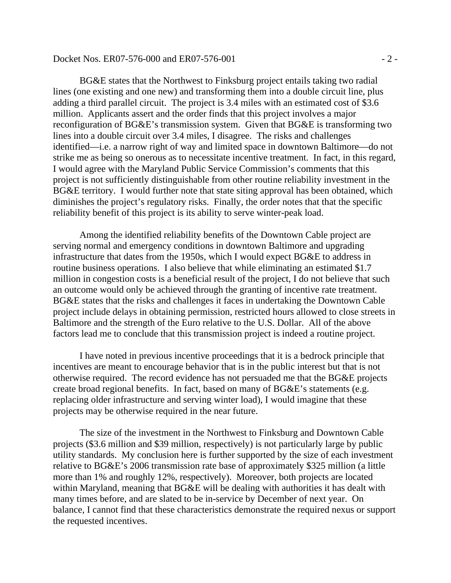#### Docket Nos. ER07-576-000 and ER07-576-001 - 2 -

 BG&E states that the Northwest to Finksburg project entails taking two radial lines (one existing and one new) and transforming them into a double circuit line, plus adding a third parallel circuit. The project is 3.4 miles with an estimated cost of \$3.6 million. Applicants assert and the order finds that this project involves a major reconfiguration of BG&E's transmission system. Given that BG&E is transforming two lines into a double circuit over 3.4 miles, I disagree. The risks and challenges identified—i.e. a narrow right of way and limited space in downtown Baltimore—do not strike me as being so onerous as to necessitate incentive treatment. In fact, in this regard, I would agree with the Maryland Public Service Commission's comments that this project is not sufficiently distinguishable from other routine reliability investment in the BG&E territory. I would further note that state siting approval has been obtained, which diminishes the project's regulatory risks. Finally, the order notes that that the specific reliability benefit of this project is its ability to serve winter-peak load.

Among the identified reliability benefits of the Downtown Cable project are serving normal and emergency conditions in downtown Baltimore and upgrading infrastructure that dates from the 1950s, which I would expect BG&E to address in routine business operations. I also believe that while eliminating an estimated \$1.7 million in congestion costs is a beneficial result of the project, I do not believe that such an outcome would only be achieved through the granting of incentive rate treatment. BG&E states that the risks and challenges it faces in undertaking the Downtown Cable project include delays in obtaining permission, restricted hours allowed to close streets in Baltimore and the strength of the Euro relative to the U.S. Dollar. All of the above factors lead me to conclude that this transmission project is indeed a routine project.

I have noted in previous incentive proceedings that it is a bedrock principle that incentives are meant to encourage behavior that is in the public interest but that is not otherwise required. The record evidence has not persuaded me that the BG&E projects create broad regional benefits. In fact, based on many of BG&E's statements (e.g. replacing older infrastructure and serving winter load), I would imagine that these projects may be otherwise required in the near future.

The size of the investment in the Northwest to Finksburg and Downtown Cable projects (\$3.6 million and \$39 million, respectively) is not particularly large by public utility standards. My conclusion here is further supported by the size of each investment relative to BG&E's 2006 transmission rate base of approximately \$325 million (a little more than 1% and roughly 12%, respectively). Moreover, both projects are located within Maryland, meaning that BG&E will be dealing with authorities it has dealt with many times before, and are slated to be in-service by December of next year. On balance, I cannot find that these characteristics demonstrate the required nexus or support the requested incentives.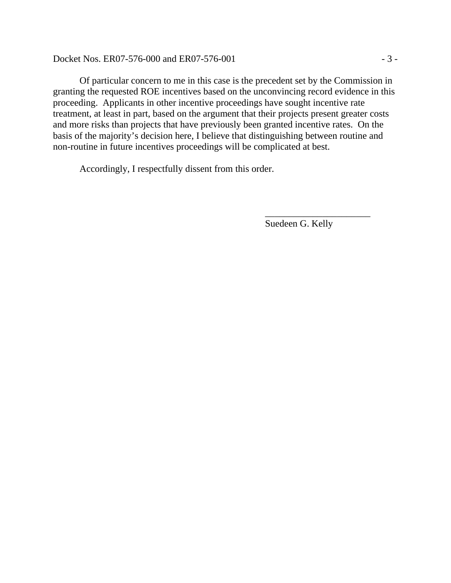Docket Nos. ER07-576-000 and ER07-576-001 - 3 -

Of particular concern to me in this case is the precedent set by the Commission in granting the requested ROE incentives based on the unconvincing record evidence in this proceeding. Applicants in other incentive proceedings have sought incentive rate treatment, at least in part, based on the argument that their projects present greater costs and more risks than projects that have previously been granted incentive rates. On the basis of the majority's decision here, I believe that distinguishing between routine and non-routine in future incentives proceedings will be complicated at best.

 $\overline{\phantom{a}}$  , which is a set of the contract of the contract of the contract of the contract of the contract of the contract of the contract of the contract of the contract of the contract of the contract of the contract

Accordingly, I respectfully dissent from this order.

Suedeen G. Kelly